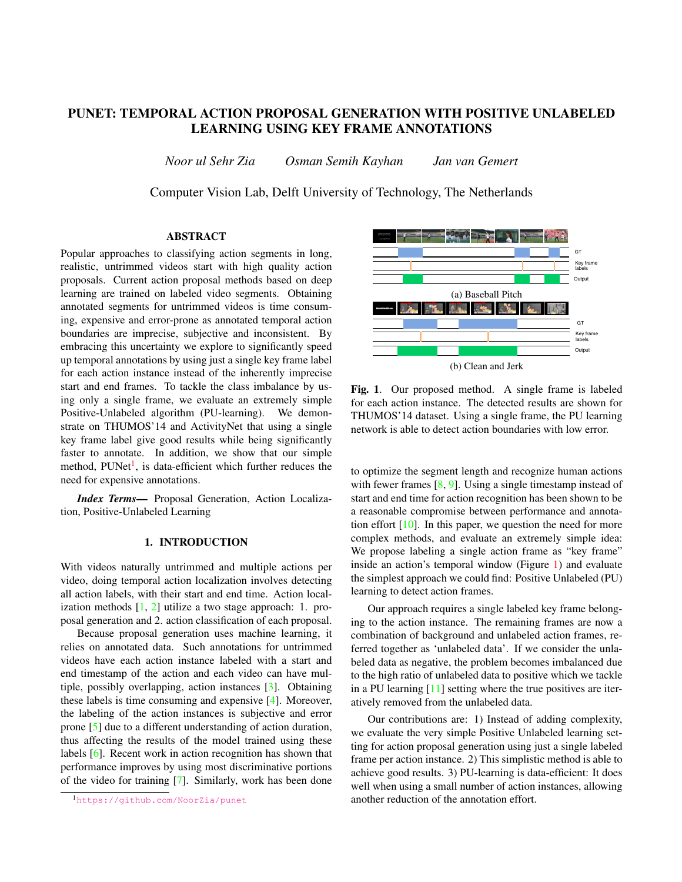# PUNET: TEMPORAL ACTION PROPOSAL GENERATION WITH POSITIVE UNLABELED LEARNING USING KEY FRAME ANNOTATIONS

*Noor ul Sehr Zia Osman Semih Kayhan Jan van Gemert*

Computer Vision Lab, Delft University of Technology, The Netherlands

# ABSTRACT

Popular approaches to classifying action segments in long, realistic, untrimmed videos start with high quality action proposals. Current action proposal methods based on deep learning are trained on labeled video segments. Obtaining annotated segments for untrimmed videos is time consuming, expensive and error-prone as annotated temporal action boundaries are imprecise, subjective and inconsistent. By embracing this uncertainty we explore to significantly speed up temporal annotations by using just a single key frame label for each action instance instead of the inherently imprecise start and end frames. To tackle the class imbalance by using only a single frame, we evaluate an extremely simple Positive-Unlabeled algorithm (PU-learning). We demonstrate on THUMOS'14 and ActivityNet that using a single key frame label give good results while being significantly faster to annotate. In addition, we show that our simple method, PUNet<sup>[1](#page-0-0)</sup>, is data-efficient which further reduces the need for expensive annotations.

*Index Terms*— Proposal Generation, Action Localization, Positive-Unlabeled Learning

# 1. INTRODUCTION

With videos naturally untrimmed and multiple actions per video, doing temporal action localization involves detecting all action labels, with their start and end time. Action localization methods  $[1, 2]$  $[1, 2]$  $[1, 2]$  utilize a two stage approach: 1. proposal generation and 2. action classification of each proposal.

Because proposal generation uses machine learning, it relies on annotated data. Such annotations for untrimmed videos have each action instance labeled with a start and end timestamp of the action and each video can have multiple, possibly overlapping, action instances [\[3\]](#page-4-0). Obtaining these labels is time consuming and expensive [\[4\]](#page-4-1). Moreover, the labeling of the action instances is subjective and error prone [\[5\]](#page-4-2) due to a different understanding of action duration, thus affecting the results of the model trained using these labels [\[6\]](#page-4-3). Recent work in action recognition has shown that performance improves by using most discriminative portions of the video for training [\[7\]](#page-4-4). Similarly, work has been done



<span id="page-0-1"></span>Fig. 1. Our proposed method. A single frame is labeled for each action instance. The detected results are shown for THUMOS'14 dataset. Using a single frame, the PU learning network is able to detect action boundaries with low error.

to optimize the segment length and recognize human actions with fewer frames  $[8, 9]$  $[8, 9]$  $[8, 9]$ . Using a single timestamp instead of start and end time for action recognition has been shown to be a reasonable compromise between performance and annotation effort [\[10\]](#page-4-7). In this paper, we question the need for more complex methods, and evaluate an extremely simple idea: We propose labeling a single action frame as "key frame" inside an action's temporal window (Figure [1\)](#page-0-1) and evaluate the simplest approach we could find: Positive Unlabeled (PU) learning to detect action frames.

Our approach requires a single labeled key frame belonging to the action instance. The remaining frames are now a combination of background and unlabeled action frames, referred together as 'unlabeled data'. If we consider the unlabeled data as negative, the problem becomes imbalanced due to the high ratio of unlabeled data to positive which we tackle in a PU learning  $[11]$  setting where the true positives are iteratively removed from the unlabeled data.

Our contributions are: 1) Instead of adding complexity, we evaluate the very simple Positive Unlabeled learning setting for action proposal generation using just a single labeled frame per action instance. 2) This simplistic method is able to achieve good results. 3) PU-learning is data-efficient: It does well when using a small number of action instances, allowing another reduction of the annotation effort.

<span id="page-0-0"></span><sup>1</sup><https://github.com/NoorZia/punet>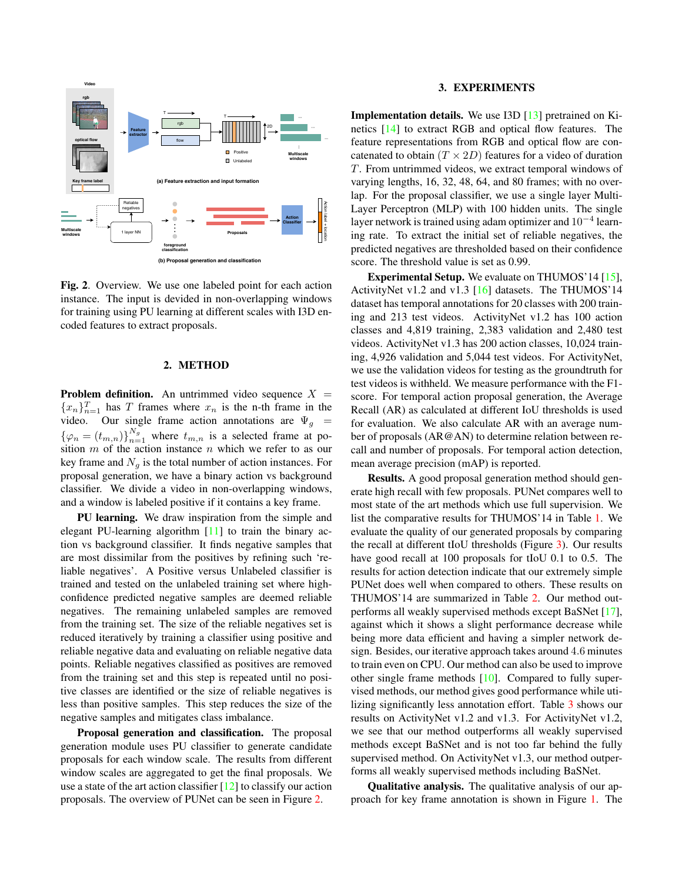

<span id="page-1-0"></span>Fig. 2. Overview. We use one labeled point for each action instance. The input is devided in non-overlapping windows for training using PU learning at different scales with I3D encoded features to extract proposals.

# 2. METHOD

**Problem definition.** An untrimmed video sequence  $X =$  ${x_n}_{n=1}^T$  has T frames where  $x_n$  is the n-th frame in the video. Our single frame action annotations are  $\Psi_g$  =  ${\varphi_n = (t_{m,n})}_{n=1}^{N_g}$  where  $t_{m,n}$  is a selected frame at position  $m$  of the action instance  $n$  which we refer to as our key frame and  $N<sub>g</sub>$  is the total number of action instances. For proposal generation, we have a binary action vs background classifier. We divide a video in non-overlapping windows, and a window is labeled positive if it contains a key frame.

PU learning. We draw inspiration from the simple and elegant PU-learning algorithm [\[11\]](#page-4-8) to train the binary action vs background classifier. It finds negative samples that are most dissimilar from the positives by refining such 'reliable negatives'. A Positive versus Unlabeled classifier is trained and tested on the unlabeled training set where highconfidence predicted negative samples are deemed reliable negatives. The remaining unlabeled samples are removed from the training set. The size of the reliable negatives set is reduced iteratively by training a classifier using positive and reliable negative data and evaluating on reliable negative data points. Reliable negatives classified as positives are removed from the training set and this step is repeated until no positive classes are identified or the size of reliable negatives is less than positive samples. This step reduces the size of the negative samples and mitigates class imbalance.

Proposal generation and classification. The proposal generation module uses PU classifier to generate candidate proposals for each window scale. The results from different window scales are aggregated to get the final proposals. We use a state of the art action classifier [\[12\]](#page-4-9) to classify our action proposals. The overview of PUNet can be seen in Figure [2.](#page-1-0)

#### 3. EXPERIMENTS

Implementation details. We use I3D [\[13\]](#page-4-10) pretrained on Kinetics [\[14\]](#page-4-11) to extract RGB and optical flow features. The feature representations from RGB and optical flow are concatenated to obtain  $(T \times 2D)$  features for a video of duration T. From untrimmed videos, we extract temporal windows of varying lengths, 16, 32, 48, 64, and 80 frames; with no overlap. For the proposal classifier, we use a single layer Multi-Layer Perceptron (MLP) with 100 hidden units. The single layer network is trained using adam optimizer and  $10^{-4}$  learning rate. To extract the initial set of reliable negatives, the predicted negatives are thresholded based on their confidence score. The threshold value is set as 0.99.

Experimental Setup. We evaluate on THUMOS'14 [\[15\]](#page-4-12), ActivityNet v1.2 and v1.3 [\[16\]](#page-4-13) datasets. The THUMOS'14 dataset has temporal annotations for 20 classes with 200 training and 213 test videos. ActivityNet v1.2 has 100 action classes and 4,819 training, 2,383 validation and 2,480 test videos. ActivityNet v1.3 has 200 action classes, 10,024 training, 4,926 validation and 5,044 test videos. For ActivityNet, we use the validation videos for testing as the groundtruth for test videos is withheld. We measure performance with the F1 score. For temporal action proposal generation, the Average Recall (AR) as calculated at different IoU thresholds is used for evaluation. We also calculate AR with an average number of proposals (AR@AN) to determine relation between recall and number of proposals. For temporal action detection, mean average precision (mAP) is reported.

Results. A good proposal generation method should generate high recall with few proposals. PUNet compares well to most state of the art methods which use full supervision. We list the comparative results for THUMOS'14 in Table [1.](#page-2-0) We evaluate the quality of our generated proposals by comparing the recall at different tIoU thresholds (Figure [3\)](#page-2-1). Our results have good recall at 100 proposals for tIoU 0.1 to 0.5. The results for action detection indicate that our extremely simple PUNet does well when compared to others. These results on THUMOS'14 are summarized in Table [2.](#page-2-2) Our method outperforms all weakly supervised methods except BaSNet [\[17\]](#page-4-14), against which it shows a slight performance decrease while being more data efficient and having a simpler network design. Besides, our iterative approach takes around 4.6 minutes to train even on CPU. Our method can also be used to improve other single frame methods [\[10\]](#page-4-7). Compared to fully supervised methods, our method gives good performance while utilizing significantly less annotation effort. Table [3](#page-2-3) shows our results on ActivityNet v1.2 and v1.3. For ActivityNet v1.2, we see that our method outperforms all weakly supervised methods except BaSNet and is not too far behind the fully supervised method. On ActivityNet v1.3, our method outperforms all weakly supervised methods including BaSNet.

Qualitative analysis. The qualitative analysis of our approach for key frame annotation is shown in Figure [1.](#page-0-1) The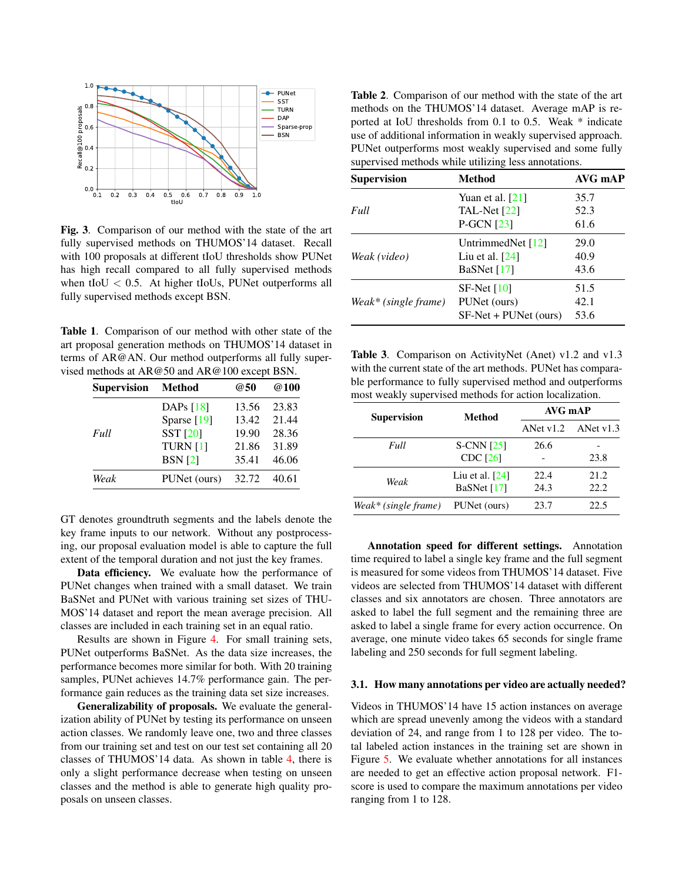

<span id="page-2-1"></span>Fig. 3. Comparison of our method with the state of the art fully supervised methods on THUMOS'14 dataset. Recall with 100 proposals at different tIoU thresholds show PUNet has high recall compared to all fully supervised methods when tIoU  $< 0.5$ . At higher tIoUs, PUNet outperforms all fully supervised methods except BSN.

<span id="page-2-0"></span>Table 1. Comparison of our method with other state of the art proposal generation methods on THUMOS'14 dataset in terms of AR@AN. Our method outperforms all fully supervised methods at AR@50 and AR@100 except BSN.

| <b>Method</b>       | @50   | @100  |
|---------------------|-------|-------|
| DAPs $[18]$         | 13.56 | 23.83 |
| Sparse [19]         | 13.42 | 21.44 |
| SST [20]            | 19.90 | 28.36 |
| TURN <sub>[1]</sub> | 21.86 | 31.89 |
| <b>BSN</b> [2]      | 35.41 | 46.06 |
| PUNet (ours)        | 32.72 | 40.61 |
|                     |       |       |

GT denotes groundtruth segments and the labels denote the key frame inputs to our network. Without any postprocessing, our proposal evaluation model is able to capture the full extent of the temporal duration and not just the key frames.

Data efficiency. We evaluate how the performance of PUNet changes when trained with a small dataset. We train BaSNet and PUNet with various training set sizes of THU-MOS'14 dataset and report the mean average precision. All classes are included in each training set in an equal ratio.

Results are shown in Figure [4.](#page-3-2) For small training sets, PUNet outperforms BaSNet. As the data size increases, the performance becomes more similar for both. With 20 training samples, PUNet achieves 14.7% performance gain. The performance gain reduces as the training data set size increases.

Generalizability of proposals. We evaluate the generalization ability of PUNet by testing its performance on unseen action classes. We randomly leave one, two and three classes from our training set and test on our test set containing all 20 classes of THUMOS'14 data. As shown in table [4,](#page-3-3) there is only a slight performance decrease when testing on unseen classes and the method is able to generate high quality proposals on unseen classes.

<span id="page-2-2"></span>Table 2. Comparison of our method with the state of the art methods on the THUMOS'14 dataset. Average mAP is reported at IoU thresholds from 0.1 to 0.5. Weak \* indicate use of additional information in weakly supervised approach. PUNet outperforms most weakly supervised and some fully supervised methods while utilizing less annotations.

| <b>Supervision</b>   | <b>Method</b>         | AVG mAP |
|----------------------|-----------------------|---------|
|                      | Yuan et al. $[21]$    | 35.7    |
| Full                 | TAL-Net $[22]$        | 52.3    |
|                      | $P-GCN [23]$          | 61.6    |
| Weak (video)         | UntrimmedNet [12]     | 29.0    |
|                      | Liu et al. $[24]$     | 40.9    |
|                      | BaSNet $[17]$         | 43.6    |
| Weak* (single frame) | $SF-Net [10]$         | 51.5    |
|                      | PUNet (ours)          | 42.1    |
|                      | SF-Net + PUNet (ours) | 53.6    |

<span id="page-2-3"></span>Table 3. Comparison on ActivityNet (Anet) v1.2 and v1.3 with the current state of the art methods. PUNet has comparable performance to fully supervised method and outperforms most weakly supervised methods for action localization.

| <b>Supervision</b>   | <b>Method</b>     | AVG mAP     |           |
|----------------------|-------------------|-------------|-----------|
|                      |                   | ANet $v1.2$ | ANet v1.3 |
| Full                 | $S-CNN$ [25]      | 26.6        |           |
|                      | <b>CDC</b> [26]   |             | 23.8      |
| Weak                 | Liu et al. $[24]$ | 22.4        | 21.2.     |
|                      | BaSNet [17]       | 24.3        | 22.2.     |
| Weak* (single frame) | PUNet (ours)      | 23.7        | 22.5      |

Annotation speed for different settings. Annotation time required to label a single key frame and the full segment is measured for some videos from THUMOS'14 dataset. Five videos are selected from THUMOS'14 dataset with different classes and six annotators are chosen. Three annotators are asked to label the full segment and the remaining three are asked to label a single frame for every action occurrence. On average, one minute video takes 65 seconds for single frame labeling and 250 seconds for full segment labeling.

### 3.1. How many annotations per video are actually needed?

Videos in THUMOS'14 have 15 action instances on average which are spread unevenly among the videos with a standard deviation of 24, and range from 1 to 128 per video. The total labeled action instances in the training set are shown in Figure [5.](#page-3-4) We evaluate whether annotations for all instances are needed to get an effective action proposal network. F1 score is used to compare the maximum annotations per video ranging from 1 to 128.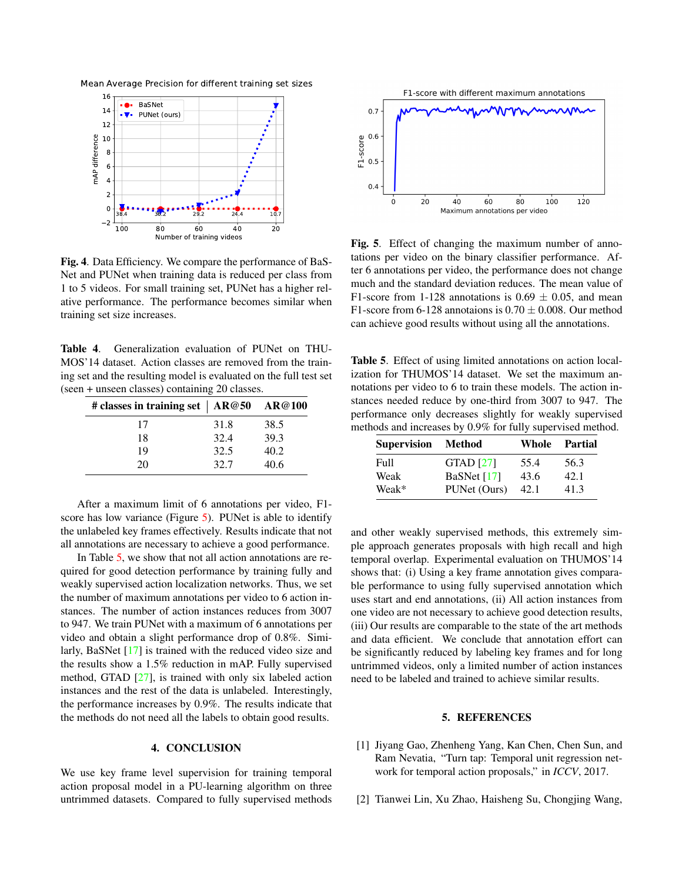Mean Average Precision for different training set sizes



<span id="page-3-2"></span>Fig. 4. Data Efficiency. We compare the performance of BaS-Net and PUNet when training data is reduced per class from 1 to 5 videos. For small training set, PUNet has a higher relative performance. The performance becomes similar when training set size increases.

<span id="page-3-3"></span>Table 4. Generalization evaluation of PUNet on THU-MOS'14 dataset. Action classes are removed from the training set and the resulting model is evaluated on the full test set (seen + unseen classes) containing 20 classes.

| # classes in training set   AR@50 AR@100 |      |      |
|------------------------------------------|------|------|
| 17                                       | 31.8 | 38.5 |
| 18                                       | 32.4 | 39.3 |
| 19                                       | 32.5 | 40.2 |
| 20                                       | 32.7 | 40.6 |

After a maximum limit of 6 annotations per video, F1- score has low variance (Figure [5\)](#page-3-4). PUNet is able to identify the unlabeled key frames effectively. Results indicate that not all annotations are necessary to achieve a good performance.

In Table [5,](#page-3-5) we show that not all action annotations are required for good detection performance by training fully and weakly supervised action localization networks. Thus, we set the number of maximum annotations per video to 6 action instances. The number of action instances reduces from 3007 to 947. We train PUNet with a maximum of 6 annotations per video and obtain a slight performance drop of 0.8%. Similarly, BaSNet [\[17\]](#page-4-14) is trained with the reduced video size and the results show a 1.5% reduction in mAP. Fully supervised method, GTAD [\[27\]](#page-4-24), is trained with only six labeled action instances and the rest of the data is unlabeled. Interestingly, the performance increases by 0.9%. The results indicate that the methods do not need all the labels to obtain good results.

# 4. CONCLUSION

We use key frame level supervision for training temporal action proposal model in a PU-learning algorithm on three untrimmed datasets. Compared to fully supervised methods



<span id="page-3-4"></span>Fig. 5. Effect of changing the maximum number of annotations per video on the binary classifier performance. After 6 annotations per video, the performance does not change much and the standard deviation reduces. The mean value of F1-score from 1-128 annotations is  $0.69 \pm 0.05$ , and mean F1-score from 6-128 annotaions is  $0.70 \pm 0.008$ . Our method can achieve good results without using all the annotations.

<span id="page-3-5"></span>Table 5. Effect of using limited annotations on action localization for THUMOS'14 dataset. We set the maximum annotations per video to 6 to train these models. The action instances needed reduce by one-third from 3007 to 947. The performance only decreases slightly for weakly supervised methods and increases by 0.9% for fully supervised method.

| <b>Supervision</b> | Method           | Whole | Partial |
|--------------------|------------------|-------|---------|
| Full               | <b>GTAD</b> [27] | 55.4  | 56.3    |
| Weak               | BaSNet $[17]$    | 43.6  | 42.1    |
| Weak*              | PUNet (Ours)     | 42.1  | 41.3    |

and other weakly supervised methods, this extremely simple approach generates proposals with high recall and high temporal overlap. Experimental evaluation on THUMOS'14 shows that: (i) Using a key frame annotation gives comparable performance to using fully supervised annotation which uses start and end annotations, (ii) All action instances from one video are not necessary to achieve good detection results, (iii) Our results are comparable to the state of the art methods and data efficient. We conclude that annotation effort can be significantly reduced by labeling key frames and for long untrimmed videos, only a limited number of action instances need to be labeled and trained to achieve similar results.

# 5. REFERENCES

- <span id="page-3-0"></span>[1] Jiyang Gao, Zhenheng Yang, Kan Chen, Chen Sun, and Ram Nevatia, "Turn tap: Temporal unit regression network for temporal action proposals," in *ICCV*, 2017.
- <span id="page-3-1"></span>[2] Tianwei Lin, Xu Zhao, Haisheng Su, Chongjing Wang,